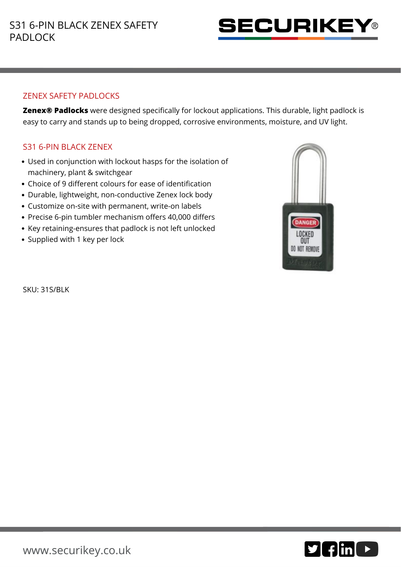

## ZENEX SAFETY PADLOCKS

**Zenex® Padlocks** were designed specifically for lockout applications. This durable, light padlock is easy to carry and stands up to being dropped, corrosive environments, moisture, and UV light.

## S31 6-PIN BLACK ZENEX

- Used in conjunction with lockout hasps for the isolation of machinery, plant & switchgear
- Choice of 9 different colours for ease of identification
- Durable, lightweight, non-conductive Zenex lock body
- Customize on-site with permanent, write-on labels
- Precise 6-pin tumbler mechanism offers 40,000 differs
- Key retaining-ensures that padlock is not left unlocked
- Supplied with 1 key per lock



SKU: 31S/BLK

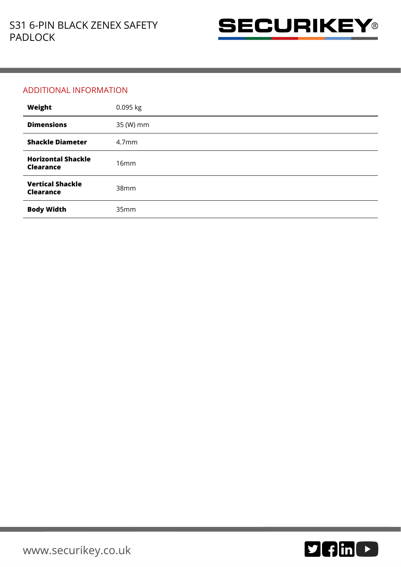

## ADDITIONAL INFORMATION

| Weight                                        | 0.095 kg          |
|-----------------------------------------------|-------------------|
| <b>Dimensions</b>                             | 35 (W) mm         |
| <b>Shackle Diameter</b>                       | 4.7 <sub>mm</sub> |
| <b>Horizontal Shackle</b><br><b>Clearance</b> | 16mm              |
| <b>Vertical Shackle</b><br><b>Clearance</b>   | 38mm              |
| <b>Body Width</b>                             | 35mm              |

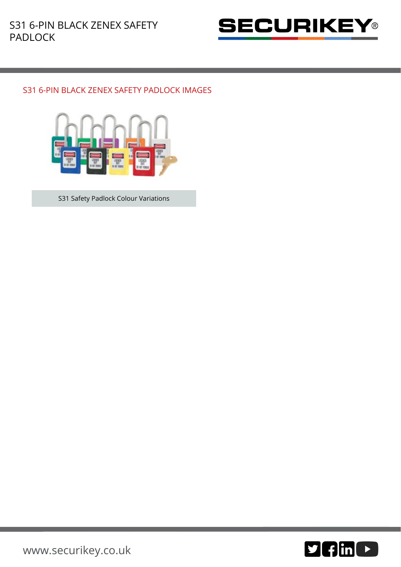

## S31 6-PIN BLACK ZENEX SAFETY PADLOCK IMAGES



S31 Safety Padlock Colour Variations